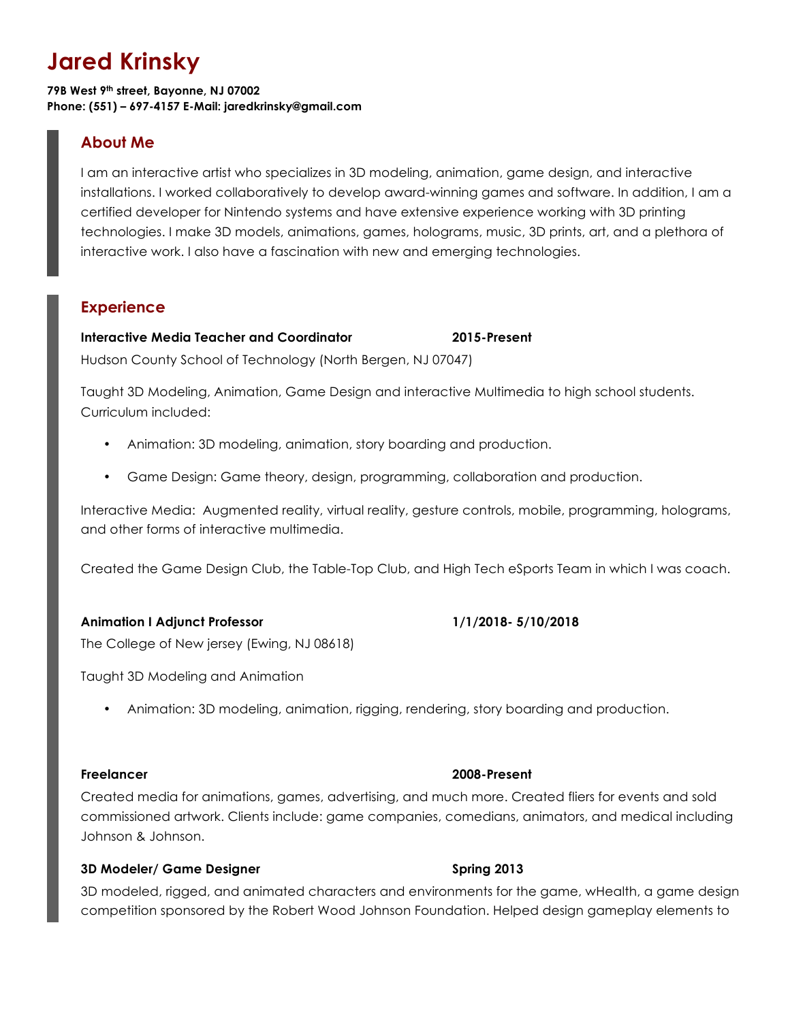# **Jared Krinsky**

**79B West 9th street, Bayonne, NJ 07002 Phone: (551) – 697-4157 E-Mail: jaredkrinsky@gmail.com**

# **About Me**

I am an interactive artist who specializes in 3D modeling, animation, game design, and interactive installations. I worked collaboratively to develop award-winning games and software. In addition, I am a certified developer for Nintendo systems and have extensive experience working with 3D printing technologies. I make 3D models, animations, games, holograms, music, 3D prints, art, and a plethora of interactive work. I also have a fascination with new and emerging technologies.

# **Experience**

# **Interactive Media Teacher and Coordinator 2015-Present**

Hudson County School of Technology (North Bergen, NJ 07047)

Taught 3D Modeling, Animation, Game Design and interactive Multimedia to high school students. Curriculum included:

- Animation: 3D modeling, animation, story boarding and production.
- Game Design: Game theory, design, programming, collaboration and production.

Interactive Media: Augmented reality, virtual reality, gesture controls, mobile, programming, holograms, and other forms of interactive multimedia.

Created the Game Design Club, the Table-Top Club, and High Tech eSports Team in which I was coach.

# **Animation I Adjunct Professor 1/1/2018- 5/10/2018**

The College of New jersey (Ewing, NJ 08618)

Taught 3D Modeling and Animation

• Animation: 3D modeling, animation, rigging, rendering, story boarding and production.

# **Freelancer 2008-Present**

Created media for animations, games, advertising, and much more. Created fliers for events and sold commissioned artwork. Clients include: game companies, comedians, animators, and medical including Johnson & Johnson.

# **3D Modeler/ Game Designer Spring 2013**

3D modeled, rigged, and animated characters and environments for the game, wHealth, a game design competition sponsored by the Robert Wood Johnson Foundation. Helped design gameplay elements to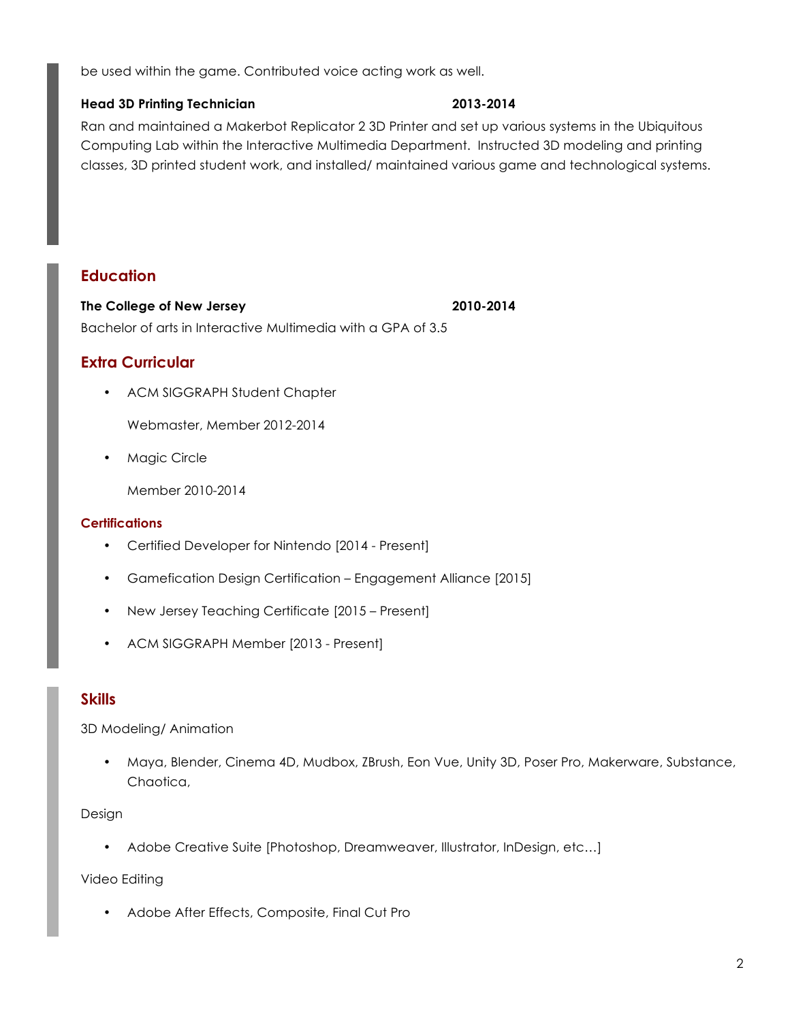be used within the game. Contributed voice acting work as well.

# **Head 3D Printing Technician 2013-2014**

Ran and maintained a Makerbot Replicator 2 3D Printer and set up various systems in the Ubiquitous Computing Lab within the Interactive Multimedia Department. Instructed 3D modeling and printing classes, 3D printed student work, and installed/ maintained various game and technological systems.

# **Education**

**The College of New Jersey 2010-2014** Bachelor of arts in Interactive Multimedia with a GPA of 3.5

# **Extra Curricular**

• ACM SIGGRAPH Student Chapter

Webmaster, Member 2012-2014

• Magic Circle

Member 2010-2014

# **Certifications**

- Certified Developer for Nintendo [2014 Present]
- Gamefication Design Certification Engagement Alliance [2015]
- New Jersey Teaching Certificate [2015 Present]
- ACM SIGGRAPH Member [2013 Present]

# **Skills**

3D Modeling/ Animation

• Maya, Blender, Cinema 4D, Mudbox, ZBrush, Eon Vue, Unity 3D, Poser Pro, Makerware, Substance, Chaotica,

### Design

• Adobe Creative Suite [Photoshop, Dreamweaver, Illustrator, InDesign, etc...]

Video Editing

• Adobe After Effects, Composite, Final Cut Pro